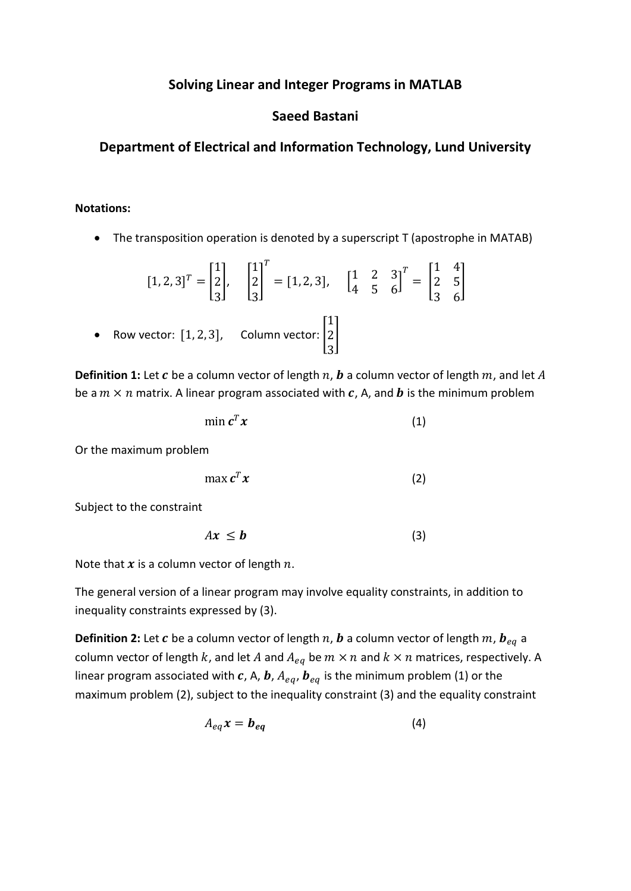# **Solving Linear and Integer Programs in MATLAB**

# **Saeed Bastani**

# **Department of Electrical and Information Technology, Lund University**

## **Notations:**

• The transposition operation is denoted by a superscript T (apostrophe in MATAB)

$$
[1, 2, 3]^T = \begin{bmatrix} 1 \\ 2 \\ 3 \end{bmatrix}, \quad \begin{bmatrix} 1 \\ 2 \\ 3 \end{bmatrix}^T = [1, 2, 3], \quad \begin{bmatrix} 1 & 2 & 3 \\ 4 & 5 & 6 \end{bmatrix}^T = \begin{bmatrix} 1 & 4 \\ 2 & 5 \\ 3 & 6 \end{bmatrix}
$$
  
• Row vector: [1, 2, 3], Column vector:  $\begin{bmatrix} 1 \\ 2 \\ 3 \end{bmatrix}$ 

**Definition 1:** Let  $c$  be a column vector of length  $n$ ,  $b$  a column vector of length  $m$ , and let  $A$ be a  $m \times n$  matrix. A linear program associated with c, A, and b is the minimum problem

$$
\min \mathbf{c}^T \mathbf{x} \tag{1}
$$

Or the maximum problem

$$
\max c^T x \tag{2}
$$

Subject to the constraint

$$
Ax \leq b \tag{3}
$$

Note that  $x$  is a column vector of length  $n$ .

The general version of a linear program may involve equality constraints, in addition to inequality constraints expressed by (3).

**Definition 2:** Let c be a column vector of length  $n$ , **b** a column vector of length  $m$ ,  $\boldsymbol{b}_{eq}$  a column vector of length k, and let A and  $A_{eq}$  be  $m \times n$  and  $k \times n$  matrices, respectively. A linear program associated with c, A, b,  $A_{ea}$ ,  $b_{ea}$  is the minimum problem (1) or the maximum problem (2), subject to the inequality constraint (3) and the equality constraint

$$
A_{eq}x = \mathbf{b}_{eq} \tag{4}
$$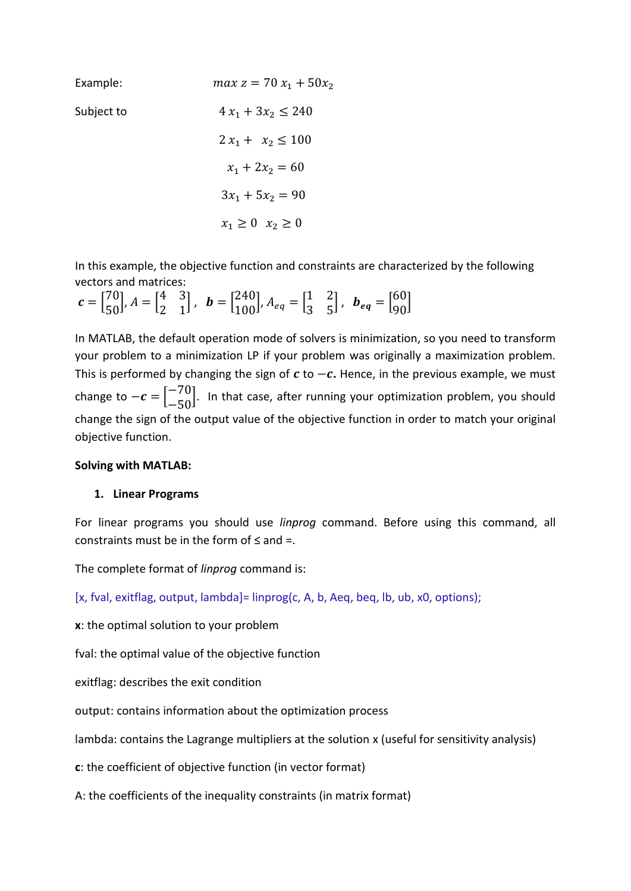| Example:   | $max z = 70 x_1 + 50x_2$  |
|------------|---------------------------|
| Subject to | $4x_1 + 3x_2 \le 240$     |
|            | $2x_1 + x_2 \le 100$      |
|            | $x_1 + 2x_2 = 60$         |
|            | $3x_1 + 5x_2 = 90$        |
|            | $x_1 \geq 0$ $x_2 \geq 0$ |

In this example, the objective function and constraints are characterized by the following vectors and matrices:

 $c = \begin{bmatrix} 70 \\ 50 \end{bmatrix}, A = \begin{bmatrix} 4 \\ 2 \end{bmatrix}$ 2 3  $\begin{bmatrix} 3 \\ 1 \end{bmatrix}$ ,  $\mathbf{b} = \begin{bmatrix} 240 \\ 100 \end{bmatrix}$ ,  $A_{eq} = \begin{bmatrix} 1 \\ 3 \end{bmatrix}$ 3 2  $\begin{bmatrix} 2 \\ 5 \end{bmatrix}$ ,  $\boldsymbol{b}_{eq} = \begin{bmatrix} 60 \\ 90 \end{bmatrix}$ 

In MATLAB, the default operation mode of solvers is minimization, so you need to transform your problem to a minimization LP if your problem was originally a maximization problem. This is performed by changing the sign of  $c$  to  $-c$ . Hence, in the previous example, we must change to  $-c = \begin{bmatrix} -70 \\ -50 \end{bmatrix}$ . In that case, after running your optimization problem, you should change the sign of the output value of the objective function in order to match your original objective function.

### **Solving with MATLAB:**

### **1. Linear Programs**

For linear programs you should use *linprog* command. Before using this command, all constraints must be in the form of  $\leq$  and =.

The complete format of *linprog* command is:

[\[x,](http://se.mathworks.com/help/optim/ug/linprog.html?requestedDomain=www.mathworks.com#outputarg_x) [fval,](http://se.mathworks.com/help/optim/ug/linprog.html?requestedDomain=www.mathworks.com#outputarg_fval) [exitflag,](http://se.mathworks.com/help/optim/ug/linprog.html?requestedDomain=www.mathworks.com#outputarg_exitflag) [output,](http://se.mathworks.com/help/optim/ug/linprog.html?requestedDomain=www.mathworks.com#outputarg_output) [lambda\]](http://se.mathworks.com/help/optim/ug/linprog.html?requestedDomain=www.mathworks.com#outputarg_lambda)= linprog[\(c,](http://se.mathworks.com/help/optim/ug/linprog.html?requestedDomain=www.mathworks.com#inputarg_f) [A,](http://se.mathworks.com/help/optim/ug/linprog.html?requestedDomain=www.mathworks.com#inputarg_A) [b,](http://se.mathworks.com/help/optim/ug/linprog.html?requestedDomain=www.mathworks.com#inputarg_b) [Aeq,](http://se.mathworks.com/help/optim/ug/linprog.html?requestedDomain=www.mathworks.com#inputarg_Aeq) [beq,](http://se.mathworks.com/help/optim/ug/linprog.html?requestedDomain=www.mathworks.com#inputarg_beq) [lb,](http://se.mathworks.com/help/optim/ug/linprog.html?requestedDomain=www.mathworks.com#inputarg_lb) [ub,](http://se.mathworks.com/help/optim/ug/linprog.html?requestedDomain=www.mathworks.com#inputarg_ub) [x0,](http://se.mathworks.com/help/optim/ug/linprog.html?requestedDomain=www.mathworks.com#inputarg_x0) [options\)](http://se.mathworks.com/help/optim/ug/linprog.html?requestedDomain=www.mathworks.com#inputarg_options);

**x**: the optimal solution to your problem

fval: the optimal value of the objective function

exitflag: describes the exit condition

output: contains information about the optimization process

lambda: contains the Lagrange multipliers at the solution x (useful for sensitivity analysis)

**c**: the coefficient of objective function (in vector format)

A: the coefficients of the inequality constraints (in matrix format)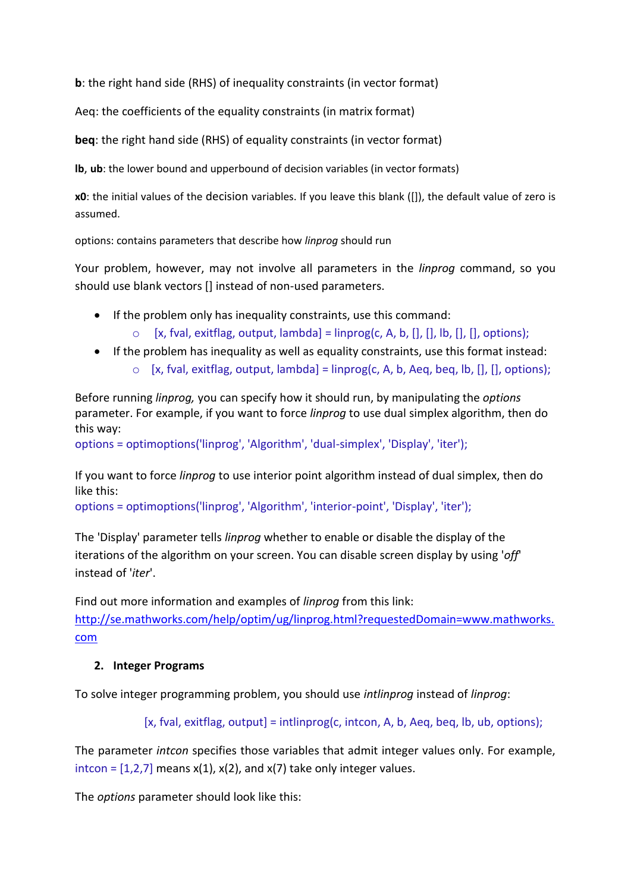**b**: the right hand side (RHS) of inequality constraints (in vector format)

Aeq: the coefficients of the equality constraints (in matrix format)

**beq**: the right hand side (RHS) of equality constraints (in vector format)

**[lb](http://se.mathworks.com/help/optim/ug/linprog.html?requestedDomain=www.mathworks.com#inputarg_lb)**, **[ub](http://se.mathworks.com/help/optim/ug/linprog.html?requestedDomain=www.mathworks.com#inputarg_ub)**: the lower bound and upperbound of decision variables (in vector formats)

**[x0](http://se.mathworks.com/help/optim/ug/linprog.html?requestedDomain=www.mathworks.com#inputarg_x0)**: the initial values of the decision variables. If you leave this blank ([]), the default value of zero is assumed.

[options:](http://se.mathworks.com/help/optim/ug/linprog.html?requestedDomain=www.mathworks.com#inputarg_options) contains parameters that describe how *linprog* should run

Your problem, however, may not involve all parameters in the *linprog* command, so you should use blank vectors [] instead of non-used parameters.

- If the problem only has inequality constraints, use this command:
	- $\circ$  [\[x,](http://se.mathworks.com/help/optim/ug/linprog.html?requestedDomain=www.mathworks.com#outputarg_x) [fval,](http://se.mathworks.com/help/optim/ug/linprog.html?requestedDomain=www.mathworks.com#outputarg_fval) [exitflag,](http://se.mathworks.com/help/optim/ug/linprog.html?requestedDomain=www.mathworks.com#outputarg_exitflag) [output,](http://se.mathworks.com/help/optim/ug/linprog.html?requestedDomain=www.mathworks.com#outputarg_output) [lambda\]](http://se.mathworks.com/help/optim/ug/linprog.html?requestedDomain=www.mathworks.com#outputarg_lambda) = linprog(c, A, b, [], [], lb, [], [], [options\)](http://se.mathworks.com/help/optim/ug/linprog.html?requestedDomain=www.mathworks.com#inputarg_options);
- If the problem has inequality as well as equality constraints, use this format instead:
	- $\circ$  [\[x,](http://se.mathworks.com/help/optim/ug/linprog.html?requestedDomain=www.mathworks.com#outputarg_x) [fval,](http://se.mathworks.com/help/optim/ug/linprog.html?requestedDomain=www.mathworks.com#outputarg_fval) [exitflag,](http://se.mathworks.com/help/optim/ug/linprog.html?requestedDomain=www.mathworks.com#outputarg_exitflag) [output,](http://se.mathworks.com/help/optim/ug/linprog.html?requestedDomain=www.mathworks.com#outputarg_output) [lambda\]](http://se.mathworks.com/help/optim/ug/linprog.html?requestedDomain=www.mathworks.com#outputarg_lambda) = linprog(c, A, b, Aeq, beq, lb, [], [], [options\)](http://se.mathworks.com/help/optim/ug/linprog.html?requestedDomain=www.mathworks.com#inputarg_options);

Before running *linprog,* you can specify how it should run, by manipulating the *options* parameter. For example, if you want to force *linprog* to use dual simplex algorithm, then do this way:

options = optimoptions('linprog', 'Algorithm', 'dual-simplex', 'Display', 'iter');

If you want to force *linprog* to use interior point algorithm instead of dual simplex, then do like this:

options = optimoptions('linprog', 'Algorithm', 'interior-point', 'Display', 'iter');

The 'Display' parameter tells *linprog* whether to enable or disable the display of the iterations of the algorithm on your screen. You can disable screen display by using '*off*' instead of '*iter*'.

Find out more information and examples of *linprog* from this link:

[http://se.mathworks.com/help/optim/ug/linprog.html?requestedDomain=www.mathworks.](http://se.mathworks.com/help/optim/ug/linprog.html?requestedDomain=www.mathworks.com) [com](http://se.mathworks.com/help/optim/ug/linprog.html?requestedDomain=www.mathworks.com)

# **2. Integer Programs**

To solve integer programming problem, you should use *intlinprog* instead of *linprog*:

[x, fval, exitflag, output] = intlinprog(c, intcon, A, b, Aeq, beq, lb, ub, options);

The parameter *intcon* specifies those variables that admit integer values only. For example, intcon =  $[1,2,7]$  means x(1), x(2), and x(7) take only integer values.

The *options* parameter should look like this: